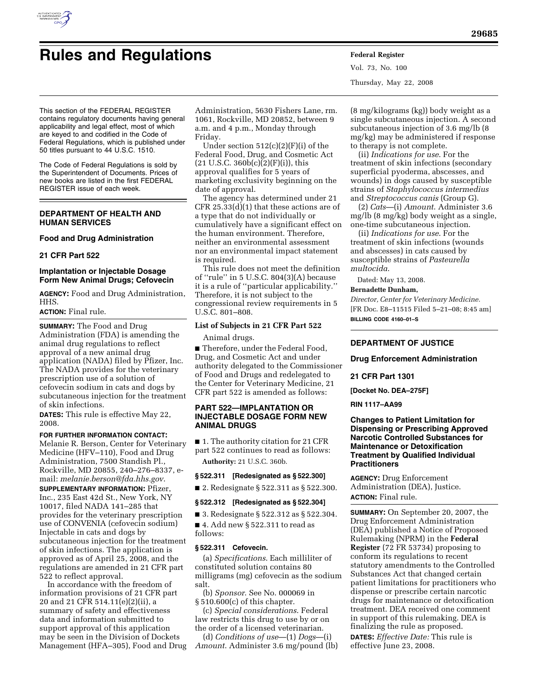

# **Rules and Regulations Federal Register**

Vol. 73, No. 100 Thursday, May 22, 2008

This section of the FEDERAL REGISTER contains regulatory documents having general applicability and legal effect, most of which are keyed to and codified in the Code of Federal Regulations, which is published under 50 titles pursuant to 44 U.S.C. 1510.

The Code of Federal Regulations is sold by the Superintendent of Documents. Prices of new books are listed in the first FEDERAL REGISTER issue of each week.

## **DEPARTMENT OF HEALTH AND HUMAN SERVICES**

## **Food and Drug Administration**

## **21 CFR Part 522**

## **Implantation or Injectable Dosage Form New Animal Drugs; Cefovecin**

**AGENCY:** Food and Drug Administration, HHS.

## **ACTION:** Final rule.

**SUMMARY:** The Food and Drug Administration (FDA) is amending the animal drug regulations to reflect approval of a new animal drug application (NADA) filed by Pfizer, Inc. The NADA provides for the veterinary prescription use of a solution of cefovecin sodium in cats and dogs by subcutaneous injection for the treatment of skin infections.

**DATES:** This rule is effective May 22, 2008.

## **FOR FURTHER INFORMATION CONTACT:**

Melanie R. Berson, Center for Veterinary Medicine (HFV–110), Food and Drug Administration, 7500 Standish Pl., Rockville, MD 20855, 240–276–8337, email: *melanie.berson@fda.hhs.gov*.

**SUPPLEMENTARY INFORMATION:** Pfizer, Inc., 235 East 42d St., New York, NY 10017, filed NADA 141–285 that provides for the veterinary prescription use of CONVENIA (cefovecin sodium) Injectable in cats and dogs by subcutaneous injection for the treatment of skin infections. The application is approved as of April 25, 2008, and the regulations are amended in 21 CFR part 522 to reflect approval.

In accordance with the freedom of information provisions of 21 CFR part 20 and 21 CFR 514.11(e)(2)(ii), a summary of safety and effectiveness data and information submitted to support approval of this application may be seen in the Division of Dockets Management (HFA–305), Food and Drug Administration, 5630 Fishers Lane, rm. 1061, Rockville, MD 20852, between 9 a.m. and 4 p.m., Monday through Friday.

Under section  $512(c)(2)(F)(i)$  of the Federal Food, Drug, and Cosmetic Act  $(21 \text{ U.S.C. } 360b(c)(2)(F)(i))$ , this approval qualifies for 5 years of marketing exclusivity beginning on the date of approval.

The agency has determined under 21 CFR 25.33(d)(1) that these actions are of a type that do not individually or cumulatively have a significant effect on the human environment. Therefore, neither an environmental assessment nor an environmental impact statement is required.

This rule does not meet the definition of ''rule'' in 5 U.S.C. 804(3)(A) because it is a rule of ''particular applicability.'' Therefore, it is not subject to the congressional review requirements in 5 U.S.C. 801–808.

#### **List of Subjects in 21 CFR Part 522**

Animal drugs.

■ Therefore, under the Federal Food, Drug, and Cosmetic Act and under authority delegated to the Commissioner of Food and Drugs and redelegated to the Center for Veterinary Medicine, 21 CFR part 522 is amended as follows:

## **PART 522—IMPLANTATION OR INJECTABLE DOSAGE FORM NEW ANIMAL DRUGS**

■ 1. The authority citation for 21 CFR part 522 continues to read as follows: **Authority:** 21 U.S.C. 360b.

## **§ 522.311 [Redesignated as § 522.300]**

■ 2. Redesignate § 522.311 as § 522.300.

## **§ 522.312 [Redesignated as § 522.304]**

■ 3. Redesignate § 522.312 as § 522.304.

■ 4. Add new § 522.311 to read as follows:

#### **§ 522.311 Cefovecin.**

(a) *Specifications*. Each milliliter of constituted solution contains 80 milligrams (mg) cefovecin as the sodium salt.

(b) *Sponsor*. See No. 000069 in § 510.600(c) of this chapter.

(c) *Special considerations*. Federal law restricts this drug to use by or on the order of a licensed veterinarian.

(d) *Conditions of use*—(1) *Dogs*—(i) *Amount*. Administer 3.6 mg/pound (lb)

(8 mg/kilograms (kg)) body weight as a single subcutaneous injection. A second subcutaneous injection of 3.6 mg/lb (8 mg/kg) may be administered if response to therapy is not complete.

(ii) *Indications for use*. For the treatment of skin infections (secondary superficial pyoderma, abscesses, and wounds) in dogs caused by susceptible strains of *Staphylococcus intermedius*  and *Streptococcus canis* (Group G).

(2) *Cats*—(i) *Amount*. Administer 3.6 mg/lb (8 mg/kg) body weight as a single, one-time subcutaneous injection.

(ii) *Indications for use*. For the treatment of skin infections (wounds and abscesses) in cats caused by susceptible strains of *Pasteurella multocida*.

Dated: May 13, 2008.

#### **Bernadette Dunham,**

*Director, Center for Veterinary Medicine.*  [FR Doc. E8–11515 Filed 5–21–08; 8:45 am] **BILLING CODE 4160–01–S** 

## **DEPARTMENT OF JUSTICE**

## **Drug Enforcement Administration**

## **21 CFR Part 1301**

**[Docket No. DEA–275F]** 

#### **RIN 1117–AA99**

## **Changes to Patient Limitation for Dispensing or Prescribing Approved Narcotic Controlled Substances for Maintenance or Detoxification Treatment by Qualified Individual Practitioners**

**AGENCY:** Drug Enforcement Administration (DEA), Justice. **ACTION:** Final rule.

**SUMMARY:** On September 20, 2007, the Drug Enforcement Administration (DEA) published a Notice of Proposed Rulemaking (NPRM) in the **Federal Register** (72 FR 53734) proposing to conform its regulations to recent statutory amendments to the Controlled Substances Act that changed certain patient limitations for practitioners who dispense or prescribe certain narcotic drugs for maintenance or detoxification treatment. DEA received one comment in support of this rulemaking. DEA is finalizing the rule as proposed.

**DATES:** *Effective Date:* This rule is effective June 23, 2008.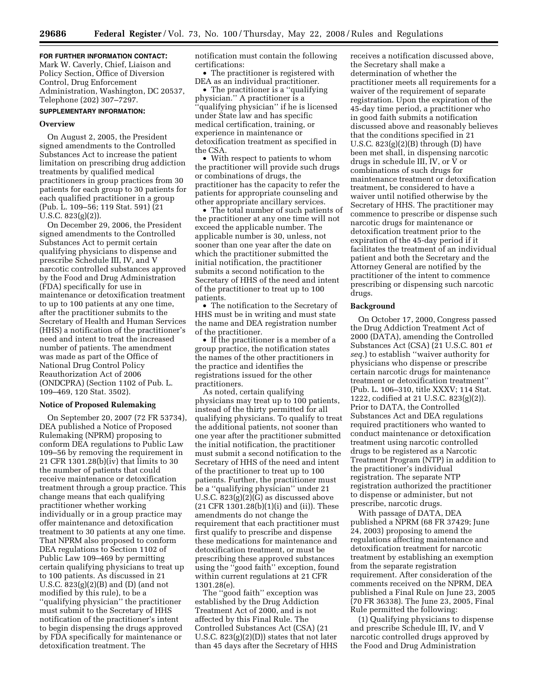**FOR FURTHER INFORMATION CONTACT:**  Mark W. Caverly, Chief, Liaison and Policy Section, Office of Diversion Control, Drug Enforcement Administration, Washington, DC 20537, Telephone (202) 307–7297.

## **SUPPLEMENTARY INFORMATION:**

#### **Overview**

On August 2, 2005, the President signed amendments to the Controlled Substances Act to increase the patient limitation on prescribing drug addiction treatments by qualified medical practitioners in group practices from 30 patients for each group to 30 patients for each qualified practitioner in a group (Pub. L. 109–56; 119 Stat. 591) (21 U.S.C. 823(g)(2)).

On December 29, 2006, the President signed amendments to the Controlled Substances Act to permit certain qualifying physicians to dispense and prescribe Schedule III, IV, and V narcotic controlled substances approved by the Food and Drug Administration (FDA) specifically for use in maintenance or detoxification treatment to up to 100 patients at any one time, after the practitioner submits to the Secretary of Health and Human Services (HHS) a notification of the practitioner's need and intent to treat the increased number of patients. The amendment was made as part of the Office of National Drug Control Policy Reauthorization Act of 2006 (ONDCPRA) (Section 1102 of Pub. L. 109–469, 120 Stat. 3502).

#### **Notice of Proposed Rulemaking**

On September 20, 2007 (72 FR 53734), DEA published a Notice of Proposed Rulemaking (NPRM) proposing to conform DEA regulations to Public Law 109–56 by removing the requirement in 21 CFR 1301.28(b)(iv) that limits to 30 the number of patients that could receive maintenance or detoxification treatment through a group practice. This change means that each qualifying practitioner whether working individually or in a group practice may offer maintenance and detoxification treatment to 30 patients at any one time. That NPRM also proposed to conform DEA regulations to Section 1102 of Public Law 109–469 by permitting certain qualifying physicians to treat up to 100 patients. As discussed in 21 U.S.C. 823(g)(2)(B) and (D) (and not modified by this rule), to be a ''qualifying physician'' the practitioner must submit to the Secretary of HHS notification of the practitioner's intent to begin dispensing the drugs approved by FDA specifically for maintenance or detoxification treatment. The

notification must contain the following certifications:

• The practitioner is registered with DEA as an individual practitioner.

• The practitioner is a "qualifying" physician.'' A practitioner is a ''qualifying physician'' if he is licensed under State law and has specific medical certification, training, or experience in maintenance or detoxification treatment as specified in the CSA.

• With respect to patients to whom the practitioner will provide such drugs or combinations of drugs, the practitioner has the capacity to refer the patients for appropriate counseling and other appropriate ancillary services.

• The total number of such patients of the practitioner at any one time will not exceed the applicable number. The applicable number is 30, unless, not sooner than one year after the date on which the practitioner submitted the initial notification, the practitioner submits a second notification to the Secretary of HHS of the need and intent of the practitioner to treat up to 100 patients.

• The notification to the Secretary of HHS must be in writing and must state the name and DEA registration number of the practitioner.

• If the practitioner is a member of a group practice, the notification states the names of the other practitioners in the practice and identifies the registrations issued for the other practitioners.

As noted, certain qualifying physicians may treat up to 100 patients, instead of the thirty permitted for all qualifying physicians. To qualify to treat the additional patients, not sooner than one year after the practitioner submitted the initial notification, the practitioner must submit a second notification to the Secretary of HHS of the need and intent of the practitioner to treat up to 100 patients. Further, the practitioner must be a ''qualifying physician'' under 21 U.S.C. 823(g)(2)(G) as discussed above (21 CFR 1301.28(b)(1)(i) and (ii)). These amendments do not change the requirement that each practitioner must first qualify to prescribe and dispense these medications for maintenance and detoxification treatment, or must be prescribing these approved substances using the ''good faith'' exception, found within current regulations at 21 CFR 1301.28(e).

The ''good faith'' exception was established by the Drug Addiction Treatment Act of 2000, and is not affected by this Final Rule. The Controlled Substances Act (CSA) (21 U.S.C.  $823(g)(2)(D)$  states that not later than 45 days after the Secretary of HHS receives a notification discussed above, the Secretary shall make a determination of whether the practitioner meets all requirements for a waiver of the requirement of separate registration. Upon the expiration of the 45-day time period, a practitioner who in good faith submits a notification discussed above and reasonably believes that the conditions specified in 21 U.S.C.  $823(g)(2)(B)$  through (D) have been met shall, in dispensing narcotic drugs in schedule III, IV, or V or combinations of such drugs for maintenance treatment or detoxification treatment, be considered to have a waiver until notified otherwise by the Secretary of HHS. The practitioner may commence to prescribe or dispense such narcotic drugs for maintenance or detoxification treatment prior to the expiration of the 45-day period if it facilitates the treatment of an individual patient and both the Secretary and the Attorney General are notified by the practitioner of the intent to commence prescribing or dispensing such narcotic drugs.

#### **Background**

On October 17, 2000, Congress passed the Drug Addiction Treatment Act of 2000 (DATA), amending the Controlled Substances Act (CSA) (21 U.S.C. 801 *et seq.*) to establish ''waiver authority for physicians who dispense or prescribe certain narcotic drugs for maintenance treatment or detoxification treatment'' (Pub. L. 106–310, title XXXV; 114 Stat. 1222, codified at 21 U.S.C. 823(g)(2)). Prior to DATA, the Controlled Substances Act and DEA regulations required practitioners who wanted to conduct maintenance or detoxification treatment using narcotic controlled drugs to be registered as a Narcotic Treatment Program (NTP) in addition to the practitioner's individual registration. The separate NTP registration authorized the practitioner to dispense or administer, but not prescribe, narcotic drugs.

With passage of DATA, DEA published a NPRM (68 FR 37429; June 24, 2003) proposing to amend the regulations affecting maintenance and detoxification treatment for narcotic treatment by establishing an exemption from the separate registration requirement. After consideration of the comments received on the NPRM, DEA published a Final Rule on June 23, 2005 (70 FR 36338). The June 23, 2005, Final Rule permitted the following:

(1) Qualifying physicians to dispense and prescribe Schedule III, IV, and V narcotic controlled drugs approved by the Food and Drug Administration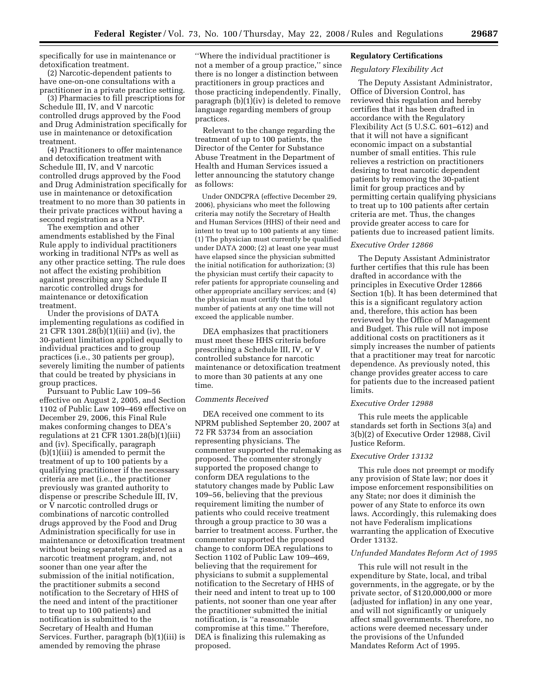specifically for use in maintenance or detoxification treatment.

(2) Narcotic-dependent patients to have one-on-one consultations with a practitioner in a private practice setting.

(3) Pharmacies to fill prescriptions for Schedule III, IV, and V narcotic controlled drugs approved by the Food and Drug Administration specifically for use in maintenance or detoxification treatment.

(4) Practitioners to offer maintenance and detoxification treatment with Schedule III, IV, and V narcotic controlled drugs approved by the Food and Drug Administration specifically for use in maintenance or detoxification treatment to no more than 30 patients in their private practices without having a second registration as a NTP.

The exemption and other amendments established by the Final Rule apply to individual practitioners working in traditional NTPs as well as any other practice setting. The rule does not affect the existing prohibition against prescribing any Schedule II narcotic controlled drugs for maintenance or detoxification treatment.

Under the provisions of DATA implementing regulations as codified in 21 CFR 1301.28(b)(1)(iii) and (iv), the 30-patient limitation applied equally to individual practices and to group practices (i.e., 30 patients per group), severely limiting the number of patients that could be treated by physicians in group practices.

Pursuant to Public Law 109–56 effective on August 2, 2005, and Section 1102 of Public Law 109–469 effective on December 29, 2006, this Final Rule makes conforming changes to DEA's regulations at 21 CFR 1301.28(b)(1)(iii) and (iv). Specifically, paragraph (b)(1)(iii) is amended to permit the treatment of up to 100 patients by a qualifying practitioner if the necessary criteria are met (i.e., the practitioner previously was granted authority to dispense or prescribe Schedule III, IV, or V narcotic controlled drugs or combinations of narcotic controlled drugs approved by the Food and Drug Administration specifically for use in maintenance or detoxification treatment without being separately registered as a narcotic treatment program, and, not sooner than one year after the submission of the initial notification, the practitioner submits a second notification to the Secretary of HHS of the need and intent of the practitioner to treat up to 100 patients) and notification is submitted to the Secretary of Health and Human Services. Further, paragraph (b)(1)(iii) is amended by removing the phrase

''Where the individual practitioner is not a member of a group practice,'' since there is no longer a distinction between practitioners in group practices and those practicing independently. Finally, paragraph (b)(1)(iv) is deleted to remove language regarding members of group practices.

Relevant to the change regarding the treatment of up to 100 patients, the Director of the Center for Substance Abuse Treatment in the Department of Health and Human Services issued a letter announcing the statutory change as follows:

Under ONDCPRA (effective December 29, 2006), physicians who meet the following criteria may notify the Secretary of Health and Human Services (HHS) of their need and intent to treat up to 100 patients at any time: (1) The physician must currently be qualified under DATA 2000; (2) at least one year must have elapsed since the physician submitted the initial notification for authorization; (3) the physician must certify their capacity to refer patients for appropriate counseling and other appropriate ancillary services; and (4) the physician must certify that the total number of patients at any one time will not exceed the applicable number.

DEA emphasizes that practitioners must meet these HHS criteria before prescribing a Schedule III, IV, or V controlled substance for narcotic maintenance or detoxification treatment to more than 30 patients at any one time.

#### *Comments Received*

DEA received one comment to its NPRM published September 20, 2007 at 72 FR 53734 from an association representing physicians. The commenter supported the rulemaking as proposed. The commenter strongly supported the proposed change to conform DEA regulations to the statutory changes made by Public Law 109–56, believing that the previous requirement limiting the number of patients who could receive treatment through a group practice to 30 was a barrier to treatment access. Further, the commenter supported the proposed change to conform DEA regulations to Section 1102 of Public Law 109–469, believing that the requirement for physicians to submit a supplemental notification to the Secretary of HHS of their need and intent to treat up to 100 patients, not sooner than one year after the practitioner submitted the initial notification, is ''a reasonable compromise at this time.'' Therefore, DEA is finalizing this rulemaking as proposed.

## **Regulatory Certifications**

#### *Regulatory Flexibility Act*

The Deputy Assistant Administrator, Office of Diversion Control, has reviewed this regulation and hereby certifies that it has been drafted in accordance with the Regulatory Flexibility Act (5 U.S.C. 601–612) and that it will not have a significant economic impact on a substantial number of small entities. This rule relieves a restriction on practitioners desiring to treat narcotic dependent patients by removing the 30-patient limit for group practices and by permitting certain qualifying physicians to treat up to 100 patients after certain criteria are met. Thus, the changes provide greater access to care for patients due to increased patient limits.

#### *Executive Order 12866*

The Deputy Assistant Administrator further certifies that this rule has been drafted in accordance with the principles in Executive Order 12866 Section 1(b). It has been determined that this is a significant regulatory action and, therefore, this action has been reviewed by the Office of Management and Budget. This rule will not impose additional costs on practitioners as it simply increases the number of patients that a practitioner may treat for narcotic dependence. As previously noted, this change provides greater access to care for patients due to the increased patient limits.

## *Executive Order 12988*

This rule meets the applicable standards set forth in Sections 3(a) and 3(b)(2) of Executive Order 12988, Civil Justice Reform.

#### *Executive Order 13132*

This rule does not preempt or modify any provision of State law; nor does it impose enforcement responsibilities on any State; nor does it diminish the power of any State to enforce its own laws. Accordingly, this rulemaking does not have Federalism implications warranting the application of Executive Order 13132.

#### *Unfunded Mandates Reform Act of 1995*

This rule will not result in the expenditure by State, local, and tribal governments, in the aggregate, or by the private sector, of \$120,000,000 or more (adjusted for inflation) in any one year, and will not significantly or uniquely affect small governments. Therefore, no actions were deemed necessary under the provisions of the Unfunded Mandates Reform Act of 1995.